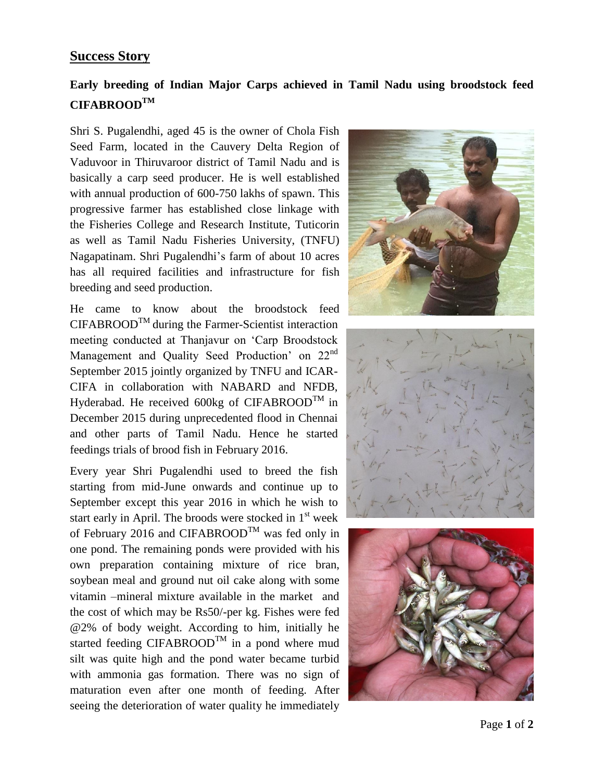## **Success Story**

## **Early breeding of Indian Major Carps achieved in Tamil Nadu using broodstock feed CIFABROODTM**

Shri S. Pugalendhi, aged 45 is the owner of Chola Fish Seed Farm, located in the Cauvery Delta Region of Vaduvoor in Thiruvaroor district of Tamil Nadu and is basically a carp seed producer. He is well established with annual production of 600-750 lakhs of spawn. This progressive farmer has established close linkage with the Fisheries College and Research Institute, Tuticorin as well as Tamil Nadu Fisheries University, (TNFU) Nagapatinam. Shri Pugalendhi's farm of about 10 acres has all required facilities and infrastructure for fish breeding and seed production.

He came to know about the broodstock feed  $CIFABROOD<sup>TM</sup>$  during the Farmer-Scientist interaction meeting conducted at Thanjavur on 'Carp Broodstock Management and Quality Seed Production' on 22<sup>nd</sup> September 2015 jointly organized by TNFU and ICAR-CIFA in collaboration with NABARD and NFDB, Hyderabad. He received  $600kg$  of CIFABROOD<sup>TM</sup> in December 2015 during unprecedented flood in Chennai and other parts of Tamil Nadu. Hence he started feedings trials of brood fish in February 2016.

Every year Shri Pugalendhi used to breed the fish starting from mid-June onwards and continue up to September except this year 2016 in which he wish to start early in April. The broods were stocked in  $1<sup>st</sup>$  week of February 2016 and CIFABROOD<sup>TM</sup> was fed only in one pond. The remaining ponds were provided with his own preparation containing mixture of rice bran, soybean meal and ground nut oil cake along with some vitamin –mineral mixture available in the market and the cost of which may be Rs50/-per kg. Fishes were fed @2% of body weight. According to him, initially he started feeding CIFABROOD<sup>TM</sup> in a pond where mud silt was quite high and the pond water became turbid with ammonia gas formation. There was no sign of maturation even after one month of feeding. After seeing the deterioration of water quality he immediately